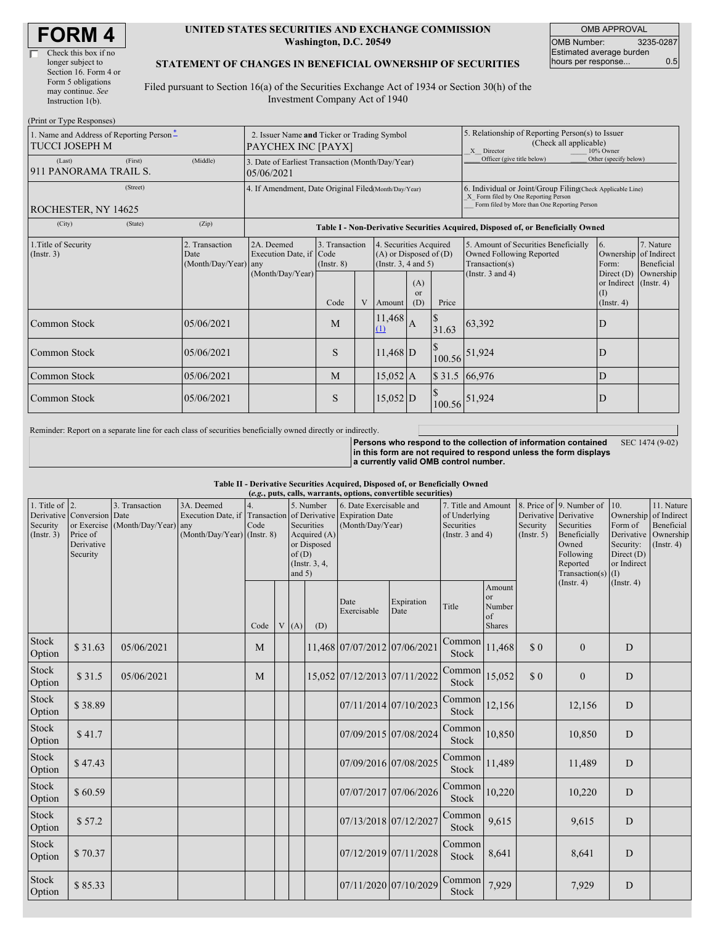| <b>FORM4</b> |
|--------------|
|--------------|

| Check this box if no  |
|-----------------------|
| longer subject to     |
| Section 16. Form 4 or |
| Form 5 obligations    |
| may continue. See     |
| Instruction 1(b).     |
|                       |

 $(D_{\text{wint on}}$  Type  $D$ 

#### **UNITED STATES SECURITIES AND EXCHANGE COMMISSION Washington, D.C. 20549**

OMB APPROVAL OMB Number: 3235-0287 Estimated average burden hours per response... 0.5

#### **STATEMENT OF CHANGES IN BENEFICIAL OWNERSHIP OF SECURITIES**

Filed pursuant to Section 16(a) of the Securities Exchange Act of 1934 or Section 30(h) of the Investment Company Act of 1940

| THIIL OF TYPE INESPOISES!<br>1. Name and Address of Reporting Person-<br>TUCCI JOSEPH M | 2. Issuer Name and Ticker or Trading Symbol<br>PAYCHEX INC [PAYX] |                                                                |                                                                                  |   |                                                                                  | 5. Relationship of Reporting Person(s) to Issuer<br>(Check all applicable)<br>X Director<br>10% Owner |                            |                                                                                                                                                    |                                                                   |                         |  |
|-----------------------------------------------------------------------------------------|-------------------------------------------------------------------|----------------------------------------------------------------|----------------------------------------------------------------------------------|---|----------------------------------------------------------------------------------|-------------------------------------------------------------------------------------------------------|----------------------------|----------------------------------------------------------------------------------------------------------------------------------------------------|-------------------------------------------------------------------|-------------------------|--|
| (First)<br>(Last)<br>911 PANORAMA TRAIL S.                                              | (Middle)                                                          | 3. Date of Earliest Transaction (Month/Day/Year)<br>05/06/2021 |                                                                                  |   |                                                                                  |                                                                                                       | Officer (give title below) | Other (specify below)                                                                                                                              |                                                                   |                         |  |
| (Street)<br>ROCHESTER, NY 14625                                                         |                                                                   | 4. If Amendment, Date Original Filed Month/Day/Year)           |                                                                                  |   |                                                                                  |                                                                                                       |                            | 6. Individual or Joint/Group Filing Check Applicable Line)<br>X Form filed by One Reporting Person<br>Form filed by More than One Reporting Person |                                                                   |                         |  |
| (City)<br>(State)                                                                       | (Zip)                                                             |                                                                | Table I - Non-Derivative Securities Acquired, Disposed of, or Beneficially Owned |   |                                                                                  |                                                                                                       |                            |                                                                                                                                                    |                                                                   |                         |  |
| 1. Title of Security<br>(Insert. 3)                                                     | 2. Transaction<br>Date<br>(Month/Day/Year) any                    | 2A. Deemed<br>Execution Date, if Code<br>(Month/Day/Year)      | 3. Transaction<br>$($ Instr. $8)$                                                |   | 4. Securities Acquired<br>$(A)$ or Disposed of $(D)$<br>(Instr. $3, 4$ and $5$ ) |                                                                                                       |                            | 5. Amount of Securities Beneficially<br>Owned Following Reported<br>Transaction(s)                                                                 | 6.<br>Ownership of Indirect<br>Form:                              | 7. Nature<br>Beneficial |  |
|                                                                                         |                                                                   |                                                                | Code                                                                             | V | Amount                                                                           | (A)<br><sub>or</sub><br>(D)                                                                           | Price                      | (Instr. $3$ and $4$ )                                                                                                                              | Direct $(D)$<br>or Indirect (Instr. 4)<br>(1)<br>$($ Instr. 4 $)$ | Ownership               |  |
| Common Stock                                                                            | 05/06/2021                                                        |                                                                | M                                                                                |   | 11,468<br>(1)                                                                    | $\mathbf{A}$                                                                                          | 31.63                      | 63,392                                                                                                                                             | D                                                                 |                         |  |
| <b>Common Stock</b>                                                                     | 05/06/2021                                                        |                                                                | S                                                                                |   | $11,468$ D                                                                       |                                                                                                       | 100.56                     | 51,924                                                                                                                                             | D                                                                 |                         |  |
| <b>Common Stock</b>                                                                     | 05/06/2021                                                        |                                                                | M                                                                                |   | $15,052$ A                                                                       |                                                                                                       |                            | \$31.5 66,976                                                                                                                                      | D                                                                 |                         |  |
| <b>Common Stock</b>                                                                     | 05/06/2021                                                        |                                                                | S                                                                                |   | $15,052$ D                                                                       |                                                                                                       | 100.56                     | 51,924                                                                                                                                             | D                                                                 |                         |  |

Reminder: Report on a separate line for each class of securities beneficially owned directly or indirectly.

**Persons who respond to the collection of information contained in this form are not required to respond unless the form displays a currently valid OMB control number.** SEC 1474 (9-02)

**Table II - Derivative Securities Acquired, Disposed of, or Beneficially Owned**

| (e.g., puts, calls, warrants, options, convertible securities) |                                                                  |                                                    |                                                                   |      |  |                   |                                                                           |                                                                                          |                       |                                                                             |                                                      |                         |                                                                                                                                           |                                                                        |                                                                                    |
|----------------------------------------------------------------|------------------------------------------------------------------|----------------------------------------------------|-------------------------------------------------------------------|------|--|-------------------|---------------------------------------------------------------------------|------------------------------------------------------------------------------------------|-----------------------|-----------------------------------------------------------------------------|------------------------------------------------------|-------------------------|-------------------------------------------------------------------------------------------------------------------------------------------|------------------------------------------------------------------------|------------------------------------------------------------------------------------|
| 1. Title of $\vert$ 2.<br>Security<br>(Insert. 3)              | Derivative Conversion Date<br>Price of<br>Derivative<br>Security | 3. Transaction<br>or Exercise (Month/Day/Year) any | 3A. Deemed<br>Execution Date, if<br>$(Month/Day/Year)$ (Instr. 8) | Code |  | of(D)<br>and $5)$ | 5. Number<br>Securities<br>Acquired $(A)$<br>or Disposed<br>(Instr. 3, 4, | 6. Date Exercisable and<br>Transaction of Derivative Expiration Date<br>(Month/Day/Year) |                       | 7. Title and Amount<br>of Underlying<br>Securities<br>(Instr. $3$ and $4$ ) |                                                      | Security<br>(Insert. 5) | 8. Price of 9. Number of<br>Derivative Derivative<br>Securities<br>Beneficially<br>Owned<br>Following<br>Reported<br>Transaction(s) $(I)$ | 10.<br>Form of<br>Derivative<br>Security:<br>Direct (D)<br>or Indirect | 11. Nature<br>Ownership of Indirect<br>Beneficial<br>Ownership<br>$($ Instr. 4 $)$ |
|                                                                |                                                                  |                                                    |                                                                   | Code |  | V(A)              | (D)                                                                       | Date<br>Exercisable                                                                      | Expiration<br>Date    | Title                                                                       | Amount<br><b>or</b><br>Number<br>of<br><b>Shares</b> |                         | (Insert. 4)                                                                                                                               | $($ Instr. 4 $)$                                                       |                                                                                    |
| Stock<br>Option                                                | \$31.63                                                          | 05/06/2021                                         |                                                                   | M    |  |                   |                                                                           | 11.468 07/07/2012 07/06/2021                                                             |                       | Common<br>Stock                                                             | 11,468                                               | \$0                     | $\mathbf{0}$                                                                                                                              | D                                                                      |                                                                                    |
| <b>Stock</b><br>Option                                         | \$31.5                                                           | 05/06/2021                                         |                                                                   | M    |  |                   |                                                                           | 15,052 07/12/2013 07/11/2022                                                             |                       | Common<br>Stock                                                             | 15,052                                               | \$0                     | $\mathbf{0}$                                                                                                                              | D                                                                      |                                                                                    |
| <b>Stock</b><br>Option                                         | \$38.89                                                          |                                                    |                                                                   |      |  |                   |                                                                           |                                                                                          | 07/11/2014 07/10/2023 | Common<br>Stock                                                             | 12,156                                               |                         | 12,156                                                                                                                                    | D                                                                      |                                                                                    |
| Stock<br>Option                                                | \$41.7                                                           |                                                    |                                                                   |      |  |                   |                                                                           |                                                                                          | 07/09/2015 07/08/2024 | Common<br>Stock                                                             | 10,850                                               |                         | 10,850                                                                                                                                    | D                                                                      |                                                                                    |
| Stock<br>Option                                                | \$47.43                                                          |                                                    |                                                                   |      |  |                   |                                                                           |                                                                                          | 07/09/2016 07/08/2025 | Common<br>Stock                                                             | 11,489                                               |                         | 11,489                                                                                                                                    | D                                                                      |                                                                                    |
| <b>Stock</b><br>Option                                         | \$60.59                                                          |                                                    |                                                                   |      |  |                   |                                                                           |                                                                                          | 07/07/2017 07/06/2026 | Common<br>Stock                                                             | 10,220                                               |                         | 10,220                                                                                                                                    | D                                                                      |                                                                                    |
| Stock<br>Option                                                | \$57.2                                                           |                                                    |                                                                   |      |  |                   |                                                                           | 07/13/2018 07/12/2027                                                                    |                       | Common<br>Stock                                                             | 9,615                                                |                         | 9,615                                                                                                                                     | D                                                                      |                                                                                    |
| <b>Stock</b><br>Option                                         | \$70.37                                                          |                                                    |                                                                   |      |  |                   |                                                                           |                                                                                          | 07/12/2019 07/11/2028 | Common<br>Stock                                                             | 8,641                                                |                         | 8,641                                                                                                                                     | D                                                                      |                                                                                    |
| <b>Stock</b><br>Option                                         | \$85.33                                                          |                                                    |                                                                   |      |  |                   |                                                                           |                                                                                          | 07/11/2020 07/10/2029 | Common<br>Stock                                                             | 7,929                                                |                         | 7,929                                                                                                                                     | D                                                                      |                                                                                    |